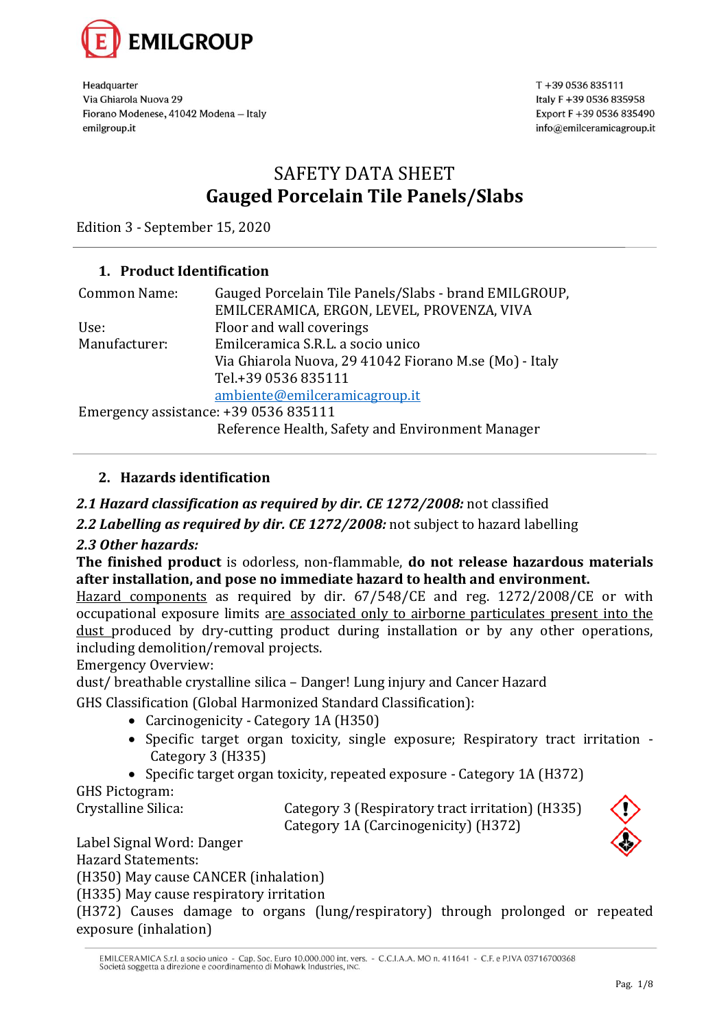

T+39 0536 835111 Italy F +39 0536 835958 Export F +39 0536 835490 info@emilceramicagroup.it

# SAFETY DATA SHEET **Gauged Porcelain Tile Panels/Slabs**

Edition 3 - September 15, 2020

## **1. Product Identification**

| Common Name:                          | Gauged Porcelain Tile Panels/Slabs - brand EMILGROUP,  |
|---------------------------------------|--------------------------------------------------------|
|                                       | EMILCERAMICA, ERGON, LEVEL, PROVENZA, VIVA             |
| Use:                                  | Floor and wall coverings                               |
| Manufacturer:                         | Emilceramica S.R.L. a socio unico                      |
|                                       | Via Ghiarola Nuova, 29 41042 Fiorano M.se (Mo) - Italy |
|                                       | Tel.+39 0536 835111                                    |
|                                       | ambiente@emilceramicagroup.it                          |
| Emergency assistance: +39 0536 835111 |                                                        |
|                                       | Reference Health, Safety and Environment Manager       |

## **2. Hazards identification**

# *2.1 Hazard classification as required by dir. CE 1272/2008:* not classified

*2.2 Labelling as required by dir. CE 1272/2008:* not subject to hazard labelling

## *2.3 Other hazards:*

**The finished product** is odorless, non-flammable, **do not release hazardous materials after installation, and pose no immediate hazard to health and environment.**

Hazard components as required by dir. 67/548/CE and reg. 1272/2008/CE or with occupational exposure limits are associated only to airborne particulates present into the dust produced by dry-cutting product during installation or by any other operations, including demolition/removal projects.

Emergency Overview:

dust/ breathable crystalline silica – Danger! Lung injury and Cancer Hazard

GHS Classification (Global Harmonized Standard Classification):

- Carcinogenicity Category 1A (H350)
- Specific target organ toxicity, single exposure; Respiratory tract irritation Category 3 (H335)
- Specific target organ toxicity, repeated exposure Category 1A (H372) GHS Pictogram:

Crystalline Silica: Category 3 (Respiratory tract irritation) (H335) Category 1A (Carcinogenicity) (H372)



Label Signal Word: Danger Hazard Statements:

(H350) May cause CANCER (inhalation)

(H335) May cause respiratory irritation

(H372) Causes damage to organs (lung/respiratory) through prolonged or repeated exposure (inhalation)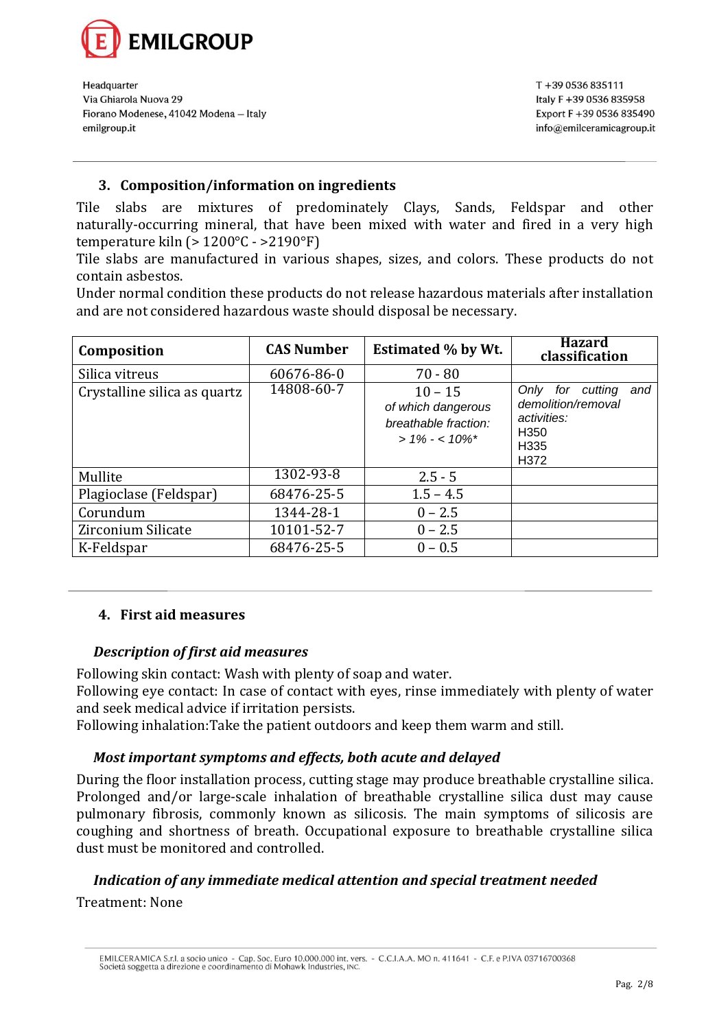

#### **3. Composition/information on ingredients**

Tile slabs are mixtures of predominately Clays, Sands, Feldspar and other naturally-occurring mineral, that have been mixed with water and fired in a very high temperature kiln (> 1200°C - >2190°F)

Tile slabs are manufactured in various shapes, sizes, and colors. These products do not contain asbestos.

Under normal condition these products do not release hazardous materials after installation and are not considered hazardous waste should disposal be necessary.

| Composition                  | <b>CAS Number</b> | <b>Estimated % by Wt.</b>                                                                | <b>Hazard</b><br>classification                                                                                           |
|------------------------------|-------------------|------------------------------------------------------------------------------------------|---------------------------------------------------------------------------------------------------------------------------|
| Silica vitreus               | 60676-86-0        | $70 - 80$                                                                                |                                                                                                                           |
| Crystalline silica as quartz | 14808-60-7        | $10 - 15$<br>of which dangerous<br>breathable fraction:<br>$> 1\% - 5.10\%$ <sup>*</sup> | Only for cutting<br>and<br>demolition/removal<br>activities:<br>H <sub>350</sub><br>H <sub>335</sub><br>H <sub>3</sub> 72 |
| Mullite                      | 1302-93-8         | $2.5 - 5$                                                                                |                                                                                                                           |
| Plagioclase (Feldspar)       | 68476-25-5        | $1.5 - 4.5$                                                                              |                                                                                                                           |
| Corundum                     | 1344-28-1         | $0 - 2.5$                                                                                |                                                                                                                           |
| Zirconium Silicate           | 10101-52-7        | $0 - 2.5$                                                                                |                                                                                                                           |
| K-Feldspar                   | 68476-25-5        | $0 - 0.5$                                                                                |                                                                                                                           |

## **4. First aid measures**

#### *Description of first aid measures*

Following skin contact: Wash with plenty of soap and water.

Following eye contact: In case of contact with eyes, rinse immediately with plenty of water and seek medical advice if irritation persists.

Following inhalation:Take the patient outdoors and keep them warm and still.

## *Most important symptoms and effects, both acute and delayed*

During the floor installation process, cutting stage may produce breathable crystalline silica. Prolonged and/or large-scale inhalation of breathable crystalline silica dust may cause pulmonary fibrosis, commonly known as silicosis. The main symptoms of silicosis are coughing and shortness of breath. Occupational exposure to breathable crystalline silica dust must be monitored and controlled.

# *Indication of any immediate medical attention and special treatment needed* Treatment: None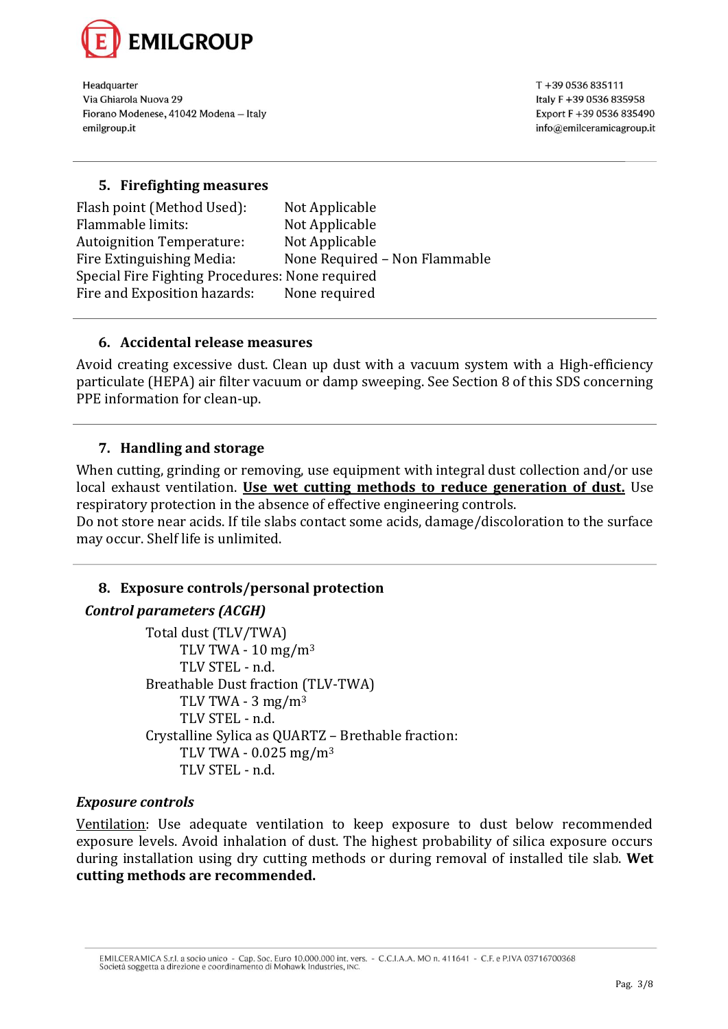

T+39 0536 835111 Italy F +39 0536 835958 Export F +39 0536 835490 info@emilceramicagroup.it

#### **5. Firefighting measures**

Flash point (Method Used): Not Applicable Flammable limits: Not Applicable Autoignition Temperature: Not Applicable Fire Extinguishing Media: None Required – Non Flammable Special Fire Fighting Procedures: None required Fire and Exposition hazards: None required

#### **6. Accidental release measures**

Avoid creating excessive dust. Clean up dust with a vacuum system with a High-efficiency particulate (HEPA) air filter vacuum or damp sweeping. See Section 8 of this SDS concerning PPE information for clean-up.

#### **7. Handling and storage**

When cutting, grinding or removing, use equipment with integral dust collection and/or use local exhaust ventilation. **Use wet cutting methods to reduce generation of dust.** Use respiratory protection in the absence of effective engineering controls.

Do not store near acids. If tile slabs contact some acids, damage/discoloration to the surface may occur. Shelf life is unlimited.

## **8. Exposure controls/personal protection**

## *Control parameters (ACGH)*

Total dust (TLV/TWA) TLV TWA -  $10 \text{ mg/m}^3$ TLV STEL - n.d. Breathable Dust fraction (TLV-TWA) TLV TWA -  $3 \text{ mg/m}^3$ TLV STEL - n.d. Crystalline Sylica as QUARTZ – Brethable fraction: TLV TWA - 0.025 mg/m<sup>3</sup> TLV STEL - n.d.

#### *Exposure controls*

Ventilation: Use adequate ventilation to keep exposure to dust below recommended exposure levels. Avoid inhalation of dust. The highest probability of silica exposure occurs during installation using dry cutting methods or during removal of installed tile slab. **Wet cutting methods are recommended.**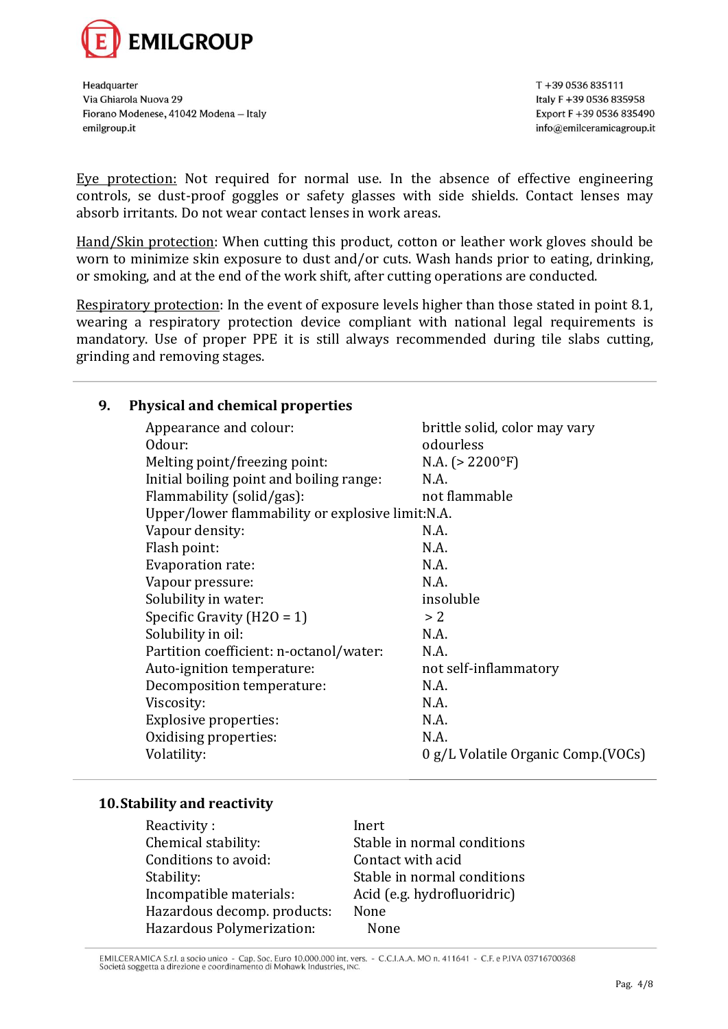

T+39 0536 835111 Italy F +39 0536 835958 Export F +39 0536 835490 info@emilceramicagroup.it

Eye protection: Not required for normal use. In the absence of effective engineering controls, se dust-proof goggles or safety glasses with side shields. Contact lenses may absorb irritants. Do not wear contact lenses in work areas.

Hand/Skin protection: When cutting this product, cotton or leather work gloves should be worn to minimize skin exposure to dust and/or cuts. Wash hands prior to eating, drinking, or smoking, and at the end of the work shift, after cutting operations are conducted.

Respiratory protection: In the event of exposure levels higher than those stated in point 8.1, wearing a respiratory protection device compliant with national legal requirements is mandatory. Use of proper PPE it is still always recommended during tile slabs cutting, grinding and removing stages.

#### **9. Physical and chemical properties**

| Appearance and colour:                            | brittle solid, color may vary      |
|---------------------------------------------------|------------------------------------|
| Odour:                                            | odourless                          |
| Melting point/freezing point:                     | $N.A.$ ( $> 2200^{\circ}F$ )       |
| Initial boiling point and boiling range:          | N.A.                               |
| Flammability (solid/gas):                         | not flammable                      |
| Upper/lower flammability or explosive limit: N.A. |                                    |
| Vapour density:                                   | N.A.                               |
| Flash point:                                      | N.A.                               |
| Evaporation rate:                                 | N.A.                               |
| Vapour pressure:                                  | N.A.                               |
| Solubility in water:                              | insoluble                          |
| Specific Gravity ( $H20 = 1$ )                    | >2                                 |
| Solubility in oil:                                | N.A.                               |
| Partition coefficient: n-octanol/water:           | N.A.                               |
| Auto-ignition temperature:                        | not self-inflammatory              |
| Decomposition temperature:                        | N.A.                               |
| Viscosity:                                        | N.A.                               |
| <b>Explosive properties:</b>                      | N.A.                               |
| Oxidising properties:                             | N.A.                               |
| Volatility:                                       | 0 g/L Volatile Organic Comp.(VOCs) |
|                                                   |                                    |

#### **10.Stability and reactivity**

| Reactivity:                 | Inert                       |
|-----------------------------|-----------------------------|
| Chemical stability:         | Stable in normal conditions |
| Conditions to avoid:        | Contact with acid           |
| Stability:                  | Stable in normal conditions |
| Incompatible materials:     | Acid (e.g. hydrofluoridric) |
| Hazardous decomp. products: | None                        |
| Hazardous Polymerization:   | None                        |

EMILCERAMICA S.r.l. a socio unico - Cap. Soc. Euro 10.000.000 int. vers. - C.C.I.A.A. MO n. 411641 - C.F. e P.IVA 03716700368 Società soggetta a direzione e coordinamento di Mohawk Industries, INC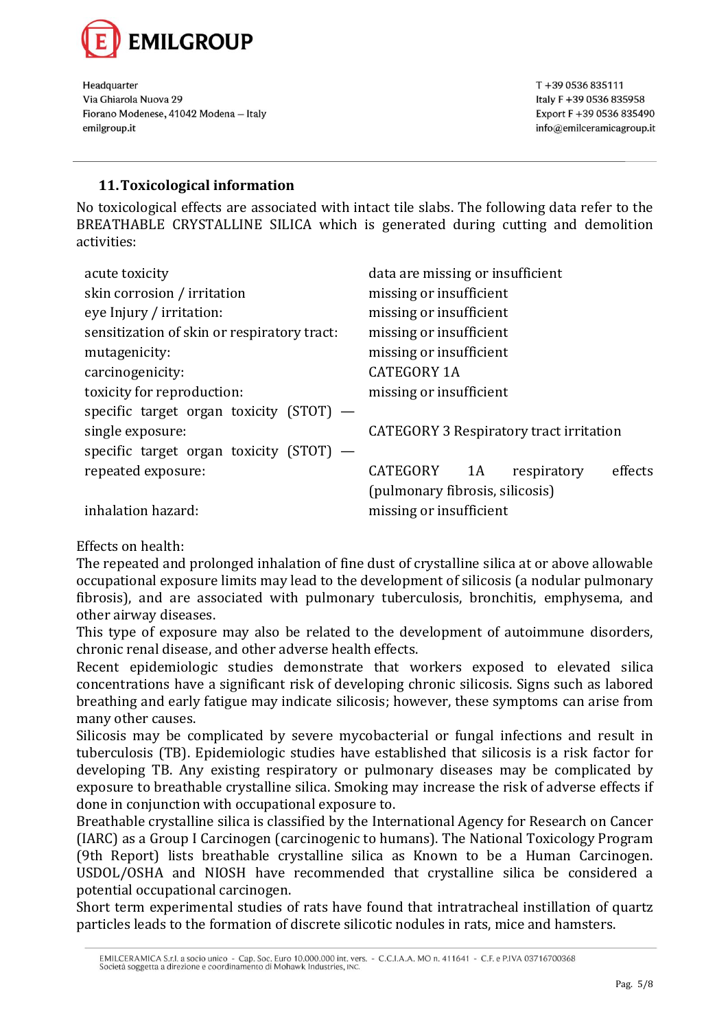

T+39 0536 835111 Italy F +39 0536 835958 Export F +39 0536 835490 info@emilceramicagroup.it

#### **11.Toxicological information**

No toxicological effects are associated with intact tile slabs. The following data refer to the BREATHABLE CRYSTALLINE SILICA which is generated during cutting and demolition activities:

| acute toxicity                              | data are missing or insufficient               |
|---------------------------------------------|------------------------------------------------|
| skin corrosion / irritation                 | missing or insufficient                        |
| eye Injury / irritation:                    | missing or insufficient                        |
| sensitization of skin or respiratory tract: | missing or insufficient                        |
| mutagenicity:                               | missing or insufficient                        |
| carcinogenicity:                            | <b>CATEGORY 1A</b>                             |
| toxicity for reproduction:                  | missing or insufficient                        |
| specific target organ toxicity $(STOT)$ —   |                                                |
| single exposure:                            | <b>CATEGORY 3 Respiratory tract irritation</b> |
| specific target organ toxicity $(STOT)$ —   |                                                |
| repeated exposure:                          | CATEGORY<br>effects<br>1A<br>respiratory       |
|                                             | (pulmonary fibrosis, silicosis)                |
| inhalation hazard:                          | missing or insufficient                        |

Effects on health:

The repeated and prolonged inhalation of fine dust of crystalline silica at or above allowable occupational exposure limits may lead to the development of silicosis (a nodular pulmonary fibrosis), and are associated with pulmonary tuberculosis, bronchitis, emphysema, and other airway diseases.

This type of exposure may also be related to the development of autoimmune disorders, chronic renal disease, and other adverse health effects.

Recent epidemiologic studies demonstrate that workers exposed to elevated silica concentrations have a significant risk of developing chronic silicosis. Signs such as labored breathing and early fatigue may indicate silicosis; however, these symptoms can arise from many other causes.

Silicosis may be complicated by severe mycobacterial or fungal infections and result in tuberculosis (TB). Epidemiologic studies have established that silicosis is a risk factor for developing TB. Any existing respiratory or pulmonary diseases may be complicated by exposure to breathable crystalline silica. Smoking may increase the risk of adverse effects if done in conjunction with occupational exposure to.

Breathable crystalline silica is classified by the International Agency for Research on Cancer (IARC) as a Group I Carcinogen (carcinogenic to humans). The National Toxicology Program (9th Report) lists breathable crystalline silica as Known to be a Human Carcinogen. USDOL/OSHA and NIOSH have recommended that crystalline silica be considered a potential occupational carcinogen.

Short term experimental studies of rats have found that intratracheal instillation of quartz particles leads to the formation of discrete silicotic nodules in rats, mice and hamsters.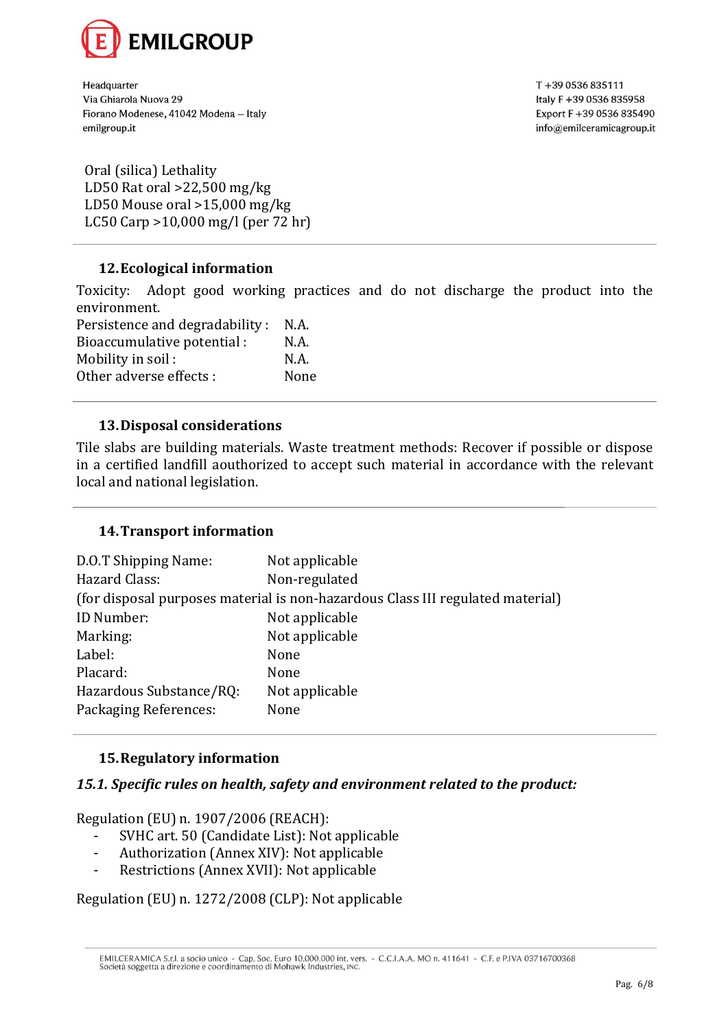

T+39 0536 835111 Italy F +39 0536 835958 Export F +39 0536 835490 info@emilceramicagroup.it

Oral (silica) Lethality LD50 Rat oral >22,500 mg/kg LD50 Mouse oral >15,000 mg/kg LC50 Carp >10,000 mg/l (per 72 hr)

# **12.Ecological information**

Toxicity: Adopt good working practices and do not discharge the product into the environment.

| Persistence and degradability : | N.A. |
|---------------------------------|------|
| Bioaccumulative potential :     | N.A. |
| Mobility in soil:               | N.A. |
| Other adverse effects :         | None |

## **13.Disposal considerations**

Tile slabs are building materials. Waste treatment methods: Recover if possible or dispose in a certified landfill aouthorized to accept such material in accordance with the relevant local and national legislation.

## **14.Transport information**

| D.O.T Shipping Name:    | Not applicable                                                                 |
|-------------------------|--------------------------------------------------------------------------------|
| Hazard Class:           | Non-regulated                                                                  |
|                         | (for disposal purposes material is non-hazardous Class III regulated material) |
| ID Number:              | Not applicable                                                                 |
| Marking:                | Not applicable                                                                 |
| Label:                  | None                                                                           |
| Placard:                | None                                                                           |
| Hazardous Substance/RQ: | Not applicable                                                                 |
| Packaging References:   | None                                                                           |

# **15.Regulatory information**

# *15.1. Specific rules on health, safety and environment related to the product:*

Regulation (EU) n. 1907/2006 (REACH):

- SVHC art. 50 (Candidate List): Not applicable
- Authorization (Annex XIV): Not applicable
- Restrictions (Annex XVII): Not applicable

Regulation (EU) n. 1272/2008 (CLP): Not applicable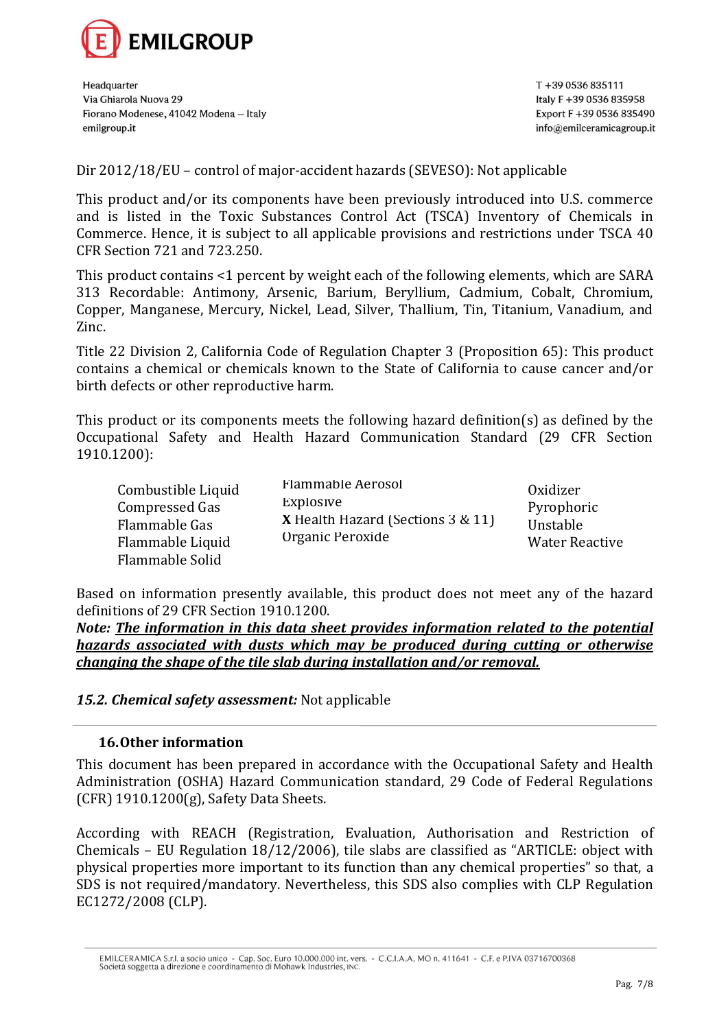

T+39 0536 835111 Italy F +39 0536 835958 Export F +39 0536 835490 info@emilceramicagroup.it

Dir 2012/18/EU – control of major-accident hazards (SEVESO): Not applicable

This product and/or its components have been previously introduced into U.S. commerce and is listed in the Toxic Substances Control Act (TSCA) Inventory of Chemicals in Commerce. Hence, it is subject to all applicable provisions and restrictions under TSCA 40 CFR Section 721 and 723.250.

This product contains <1 percent by weight each of the following elements, which are SARA 313 Recordable: Antimony, Arsenic, Barium, Beryllium, Cadmium, Cobalt, Chromium, Copper, Manganese, Mercury, Nickel, Lead, Silver, Thallium, Tin, Titanium, Vanadium, and Zinc.

Title 22 Division 2, California Code of Regulation Chapter 3 (Proposition 65): This product contains a chemical or chemicals known to the State of California to cause cancer and/or birth defects or other reproductive harm.

This product or its components meets the following hazard definition(s) as defined by the Occupational Safety and Health Hazard Communication Standard (29 CFR Section 1910.1200):

| Combustible Liquid | <b>Flammable Aerosol</b>                 | Oxidizer              |
|--------------------|------------------------------------------|-----------------------|
| Compressed Gas     | Explosive                                | Pyrophoric            |
| Flammable Gas      | <b>X</b> Health Hazard (Sections 3 & 11) | Unstable              |
| Flammable Liquid   | Organic Peroxide                         | <b>Water Reactive</b> |
| Flammable Solid    |                                          |                       |

Based on information presently available, this product does not meet any of the hazard definitions of 29 CFR Section 1910.1200.

*Note: The information in this data sheet provides information related to the potential hazards associated with dusts which may be produced during cutting or otherwise changing the shape of the tile slab during installation and/or removal.*

# *15.2. Chemical safety assessment:* Not applicable

## **16.Other information**

This document has been prepared in accordance with the Occupational Safety and Health Administration (OSHA) Hazard Communication standard, 29 Code of Federal Regulations (CFR) 1910.1200(g), Safety Data Sheets.

According with REACH (Registration, Evaluation, Authorisation and Restriction of Chemicals – EU Regulation 18/12/2006), tile slabs are classified as "ARTICLE: object with physical properties more important to its function than any chemical properties" so that, a SDS is not required/mandatory. Nevertheless, this SDS also complies with CLP Regulation EC1272/2008 (CLP).